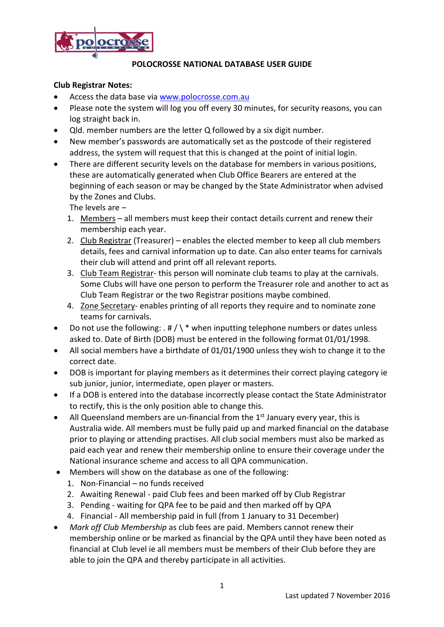

# **Club Registrar Notes:**

- Access the data base via [www.polocrosse.com.au](http://www.polocrosse.com.au/)
- Please note the system will log you off every 30 minutes, for security reasons, you can log straight back in.
- Qld. member numbers are the letter Q followed by a six digit number.
- New member's passwords are automatically set as the postcode of their registered address, the system will request that this is changed at the point of initial login.
- There are different security levels on the database for members in various positions, these are automatically generated when Club Office Bearers are entered at the beginning of each season or may be changed by the State Administrator when advised by the Zones and Clubs.

The levels are –

- 1. Members all members must keep their contact details current and renew their membership each year.
- 2. Club Registrar (Treasurer) enables the elected member to keep all club members details, fees and carnival information up to date. Can also enter teams for carnivals their club will attend and print off all relevant reports.
- 3. Club Team Registrar- this person will nominate club teams to play at the carnivals. Some Clubs will have one person to perform the Treasurer role and another to act as Club Team Registrar or the two Registrar positions maybe combined.
- 4. Zone Secretary- enables printing of all reports they require and to nominate zone teams for carnivals.
- Do not use the following: . #  $\wedge$  \* when inputting telephone numbers or dates unless asked to. Date of Birth (DOB) must be entered in the following format 01/01/1998.
- All social members have a birthdate of 01/01/1900 unless they wish to change it to the correct date.
- DOB is important for playing members as it determines their correct playing category ie sub junior, junior, intermediate, open player or masters.
- If a DOB is entered into the database incorrectly please contact the State Administrator to rectify, this is the only position able to change this.
- $\bullet$  All Queensland members are un-financial from the 1st January every year, this is Australia wide. All members must be fully paid up and marked financial on the database prior to playing or attending practises. All club social members must also be marked as paid each year and renew their membership online to ensure their coverage under the National insurance scheme and access to all QPA communication.
- Members will show on the database as one of the following:
	- 1. Non-Financial no funds received
	- 2. Awaiting Renewal paid Club fees and been marked off by Club Registrar
	- 3. Pending waiting for QPA fee to be paid and then marked off by QPA
	- 4. Financial All membership paid in full (from 1 January to 31 December)
- *Mark off Club Membership* as club fees are paid. Members cannot renew their membership online or be marked as financial by the QPA until they have been noted as financial at Club level ie all members must be members of their Club before they are able to join the QPA and thereby participate in all activities.

1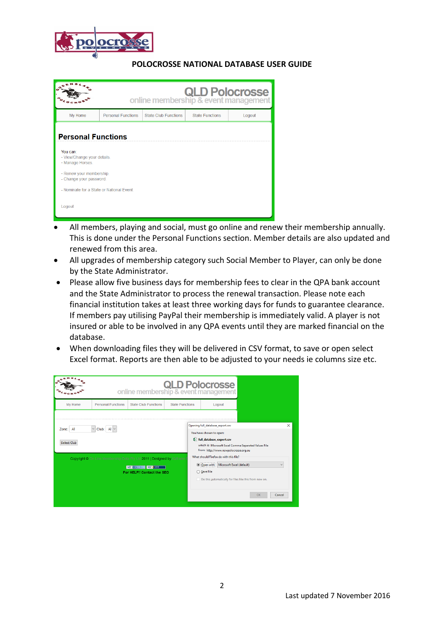

|                                                                                                                                                                                                       | <b>OLD Polocrosse</b><br>online membership & event management |                      |                        |        |  |  |
|-------------------------------------------------------------------------------------------------------------------------------------------------------------------------------------------------------|---------------------------------------------------------------|----------------------|------------------------|--------|--|--|
| My Home                                                                                                                                                                                               | <b>Personal Functions</b>                                     | State Club Eunctions | <b>State Functions</b> | Logout |  |  |
| <b>Personal Functions</b><br>You can:<br>- View/Change your details.<br>- Manage Horses.<br>- Renew your membership.<br>- Change your password.<br>- Nominate for a State or National Event<br>Logout |                                                               |                      |                        |        |  |  |

- All members, playing and social, must go online and renew their membership annually. This is done under the Personal Functions section. Member details are also updated and renewed from this area.
- All upgrades of membership category such Social Member to Player, can only be done by the State Administrator.
- Please allow five business days for membership fees to clear in the QPA bank account and the State Administrator to process the renewal transaction. Please note each financial institution takes at least three working days for funds to guarantee clearance. If members pay utilising PayPal their membership is immediately valid. A player is not insured or able to be involved in any QPA events until they are marked financial on the database.
- When downloading files they will be delivered in CSV format, to save or open select Excel format. Reports are then able to be adjusted to your needs ie columns size etc.

|                                                                                                                                                                                                                                                                                                                | <b>OLD Polocrosse</b><br>online membership & event management |                                                                                                                               |                        |                            |                                                                                     |    |        |
|----------------------------------------------------------------------------------------------------------------------------------------------------------------------------------------------------------------------------------------------------------------------------------------------------------------|---------------------------------------------------------------|-------------------------------------------------------------------------------------------------------------------------------|------------------------|----------------------------|-------------------------------------------------------------------------------------|----|--------|
| My Home                                                                                                                                                                                                                                                                                                        | <b>Personal Functions</b>                                     | <b>State Club Functions</b>                                                                                                   | <b>State Functions</b> |                            | Logout                                                                              |    |        |
| Opening full_database_export.csv<br>$\backsim$<br>Club: $AI \sim$<br>All<br>Zone:<br>You have chosen to open:<br>da full_database_export.csv<br><b>Select Club</b><br>which is: Microsoft Excel Comma Separated Values File<br>from: http://www.nswpolocrosse.org.au<br>What should Firefox do with this file? |                                                               |                                                                                                                               |                        |                            | $\times$                                                                            |    |        |
|                                                                                                                                                                                                                                                                                                                |                                                               | Copyright © On Line Membership Data Pty Ltd 2011   Designed by Kizframe<br>WSC XHTML 10 WSC css<br>For HELP!! Contact the SEO |                        | O Open with<br>○ Save File | Microsoft Excel (default)<br>Do this automatically for files like this from now on. | OK | Cancel |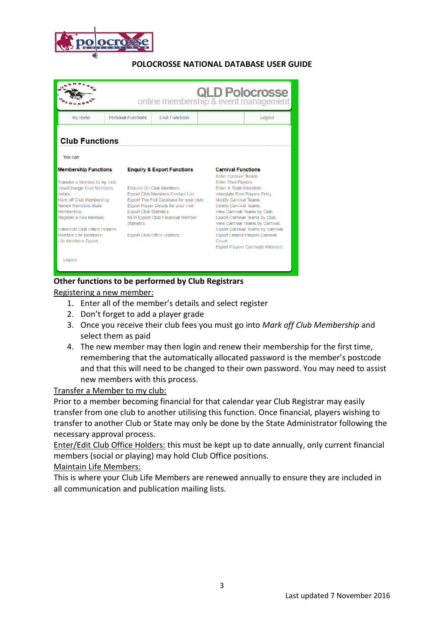

|                                                                                                                                                                                                                                    |                           | <b>OLD Polocrosse</b><br>online membership & event management                                                                                                                                                                                                          |       |                                                                                                                                                                                                                                                                                                                                                     |  |
|------------------------------------------------------------------------------------------------------------------------------------------------------------------------------------------------------------------------------------|---------------------------|------------------------------------------------------------------------------------------------------------------------------------------------------------------------------------------------------------------------------------------------------------------------|-------|-----------------------------------------------------------------------------------------------------------------------------------------------------------------------------------------------------------------------------------------------------------------------------------------------------------------------------------------------------|--|
| My Home                                                                                                                                                                                                                            | <b>Personal Functions</b> | <b>Club Eunctions</b>                                                                                                                                                                                                                                                  |       | Logout                                                                                                                                                                                                                                                                                                                                              |  |
| <b>Club Functions</b><br>You can:                                                                                                                                                                                                  |                           |                                                                                                                                                                                                                                                                        |       |                                                                                                                                                                                                                                                                                                                                                     |  |
| <b>Membership Functions</b><br>Transfer a Member to my club.<br>View/Change Club Members<br>details<br>Mark off Club Membership.<br>Renew Members State<br>Membership.<br>Register a new member.<br>Enter/Edit Club Office Holders | Statistics                | <b>Enquiry &amp; Export Functions</b><br>Enquire On Club Members.<br>Export Club Members Contact List.<br>Export The Full Database for your club.<br>Export Player Details for your club.<br><b>Export Club Statistics.</b><br><b>NEW Export Club Financial Member</b> |       | <b>Carnival Functions</b><br><b>Enter Carnival Teams</b><br>Enter Pool Players.<br>Enter A Team Interstate.<br>Interstate Pool Players Entry.<br><b>Modify Carnival Teams.</b><br>Delete Carnival Teams<br>View Carnival Teams by Club.<br>Export Carnival Teams by Club.<br>View Carnival Teams by Carnival.<br>Export Carnival Teams by Carnival. |  |
| Maintain Life Members<br>Life Members Export.<br>Logout                                                                                                                                                                            |                           | Export Club Office Holders.                                                                                                                                                                                                                                            | Count | <b>Export Limited Players Carnival</b><br>Export Players Carnivals Attended.                                                                                                                                                                                                                                                                        |  |

# **Other functions to be performed by Club Registrars**

Registering a new member:

- 1. Enter all of the member's details and select register
- 2. Don't forget to add a player grade
- 3. Once you receive their club fees you must go into *Mark off Club Membership* and select them as paid
- 4. The new member may then login and renew their membership for the first time, remembering that the automatically allocated password is the member's postcode and that this will need to be changed to their own password. You may need to assist new members with this process.

#### Transfer a Member to my club:

Prior to a member becoming financial for that calendar year Club Registrar may easily transfer from one club to another utilising this function. Once financial, players wishing to transfer to another Club or State may only be done by the State Administrator following the necessary approval process.

Enter/Edit Club Office Holders: this must be kept up to date annually, only current financial members (social or playing) may hold Club Office positions.

#### Maintain Life Members:

This is where your Club Life Members are renewed annually to ensure they are included in all communication and publication mailing lists.